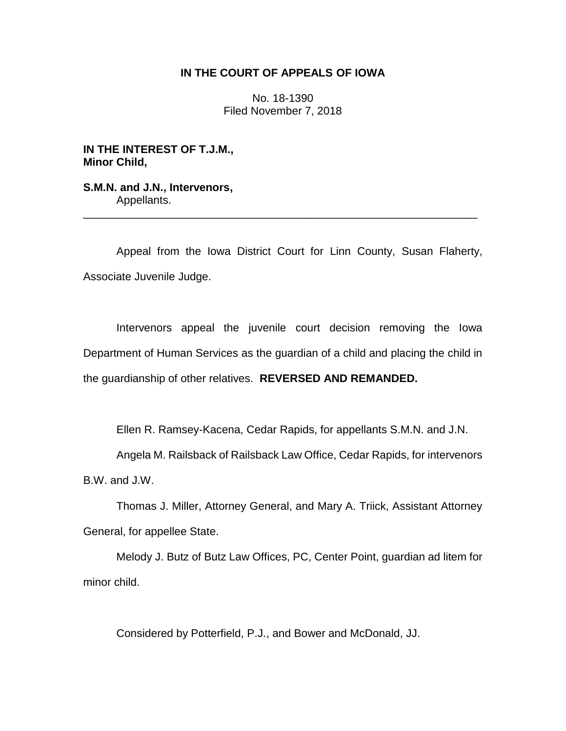### **IN THE COURT OF APPEALS OF IOWA**

No. 18-1390 Filed November 7, 2018

**IN THE INTEREST OF T.J.M., Minor Child,**

**S.M.N. and J.N., Intervenors,** Appellants.

Appeal from the Iowa District Court for Linn County, Susan Flaherty, Associate Juvenile Judge.

\_\_\_\_\_\_\_\_\_\_\_\_\_\_\_\_\_\_\_\_\_\_\_\_\_\_\_\_\_\_\_\_\_\_\_\_\_\_\_\_\_\_\_\_\_\_\_\_\_\_\_\_\_\_\_\_\_\_\_\_\_\_\_\_

Intervenors appeal the juvenile court decision removing the Iowa Department of Human Services as the guardian of a child and placing the child in the guardianship of other relatives. **REVERSED AND REMANDED.**

Ellen R. Ramsey-Kacena, Cedar Rapids, for appellants S.M.N. and J.N.

Angela M. Railsback of Railsback Law Office, Cedar Rapids, for intervenors B.W. and J.W.

Thomas J. Miller, Attorney General, and Mary A. Triick, Assistant Attorney General, for appellee State.

Melody J. Butz of Butz Law Offices, PC, Center Point, guardian ad litem for minor child.

Considered by Potterfield, P.J., and Bower and McDonald, JJ.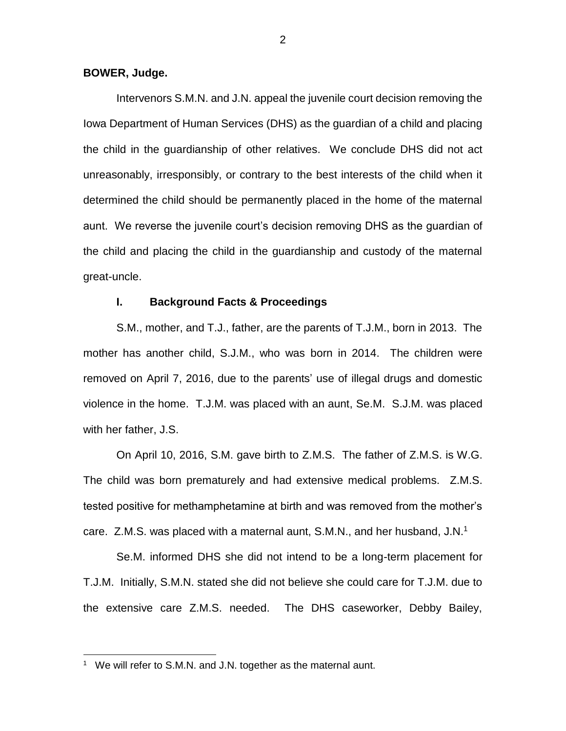#### **BOWER, Judge.**

Intervenors S.M.N. and J.N. appeal the juvenile court decision removing the Iowa Department of Human Services (DHS) as the guardian of a child and placing the child in the guardianship of other relatives. We conclude DHS did not act unreasonably, irresponsibly, or contrary to the best interests of the child when it determined the child should be permanently placed in the home of the maternal aunt. We reverse the juvenile court's decision removing DHS as the guardian of the child and placing the child in the guardianship and custody of the maternal great-uncle.

#### **I. Background Facts & Proceedings**

S.M., mother, and T.J., father, are the parents of T.J.M., born in 2013. The mother has another child, S.J.M., who was born in 2014. The children were removed on April 7, 2016, due to the parents' use of illegal drugs and domestic violence in the home. T.J.M. was placed with an aunt, Se.M. S.J.M. was placed with her father, J.S.

On April 10, 2016, S.M. gave birth to Z.M.S. The father of Z.M.S. is W.G. The child was born prematurely and had extensive medical problems. Z.M.S. tested positive for methamphetamine at birth and was removed from the mother's care. Z.M.S. was placed with a maternal aunt, S.M.N., and her husband, J.N.<sup>1</sup>

Se.M. informed DHS she did not intend to be a long-term placement for T.J.M. Initially, S.M.N. stated she did not believe she could care for T.J.M. due to the extensive care Z.M.S. needed. The DHS caseworker, Debby Bailey,

 $\overline{a}$ 

<sup>&</sup>lt;sup>1</sup> We will refer to S.M.N. and J.N. together as the maternal aunt.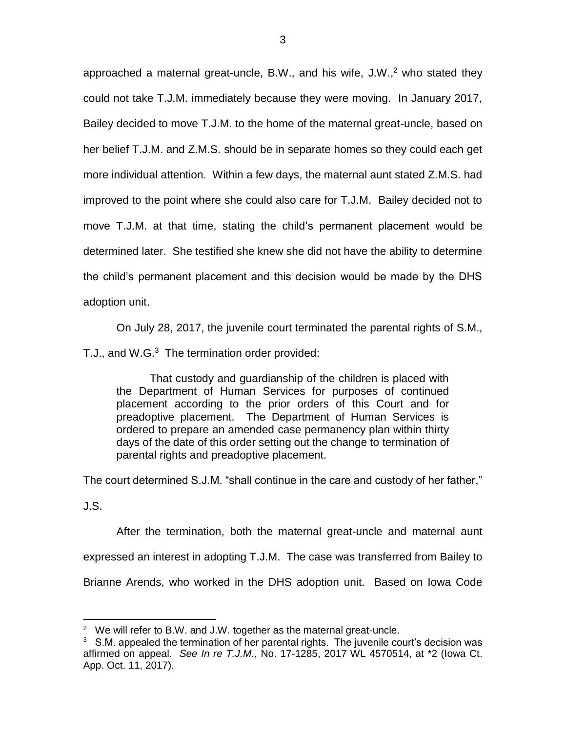approached a maternal great-uncle, B.W., and his wife,  $J.W.^2$  who stated they could not take T.J.M. immediately because they were moving. In January 2017, Bailey decided to move T.J.M. to the home of the maternal great-uncle, based on her belief T.J.M. and Z.M.S. should be in separate homes so they could each get more individual attention. Within a few days, the maternal aunt stated Z.M.S. had improved to the point where she could also care for T.J.M. Bailey decided not to move T.J.M. at that time, stating the child's permanent placement would be determined later. She testified she knew she did not have the ability to determine the child's permanent placement and this decision would be made by the DHS adoption unit.

On July 28, 2017, the juvenile court terminated the parental rights of S.M.,

T.J., and W.G.<sup>3</sup> The termination order provided:

That custody and guardianship of the children is placed with the Department of Human Services for purposes of continued placement according to the prior orders of this Court and for preadoptive placement. The Department of Human Services is ordered to prepare an amended case permanency plan within thirty days of the date of this order setting out the change to termination of parental rights and preadoptive placement.

The court determined S.J.M. "shall continue in the care and custody of her father,"

J.S.

 $\overline{a}$ 

After the termination, both the maternal great-uncle and maternal aunt expressed an interest in adopting T.J.M. The case was transferred from Bailey to Brianne Arends, who worked in the DHS adoption unit. Based on Iowa Code

 $2$  We will refer to B.W. and J.W. together as the maternal great-uncle.

 $3\,$  S.M. appealed the termination of her parental rights. The juvenile court's decision was affirmed on appeal. *See In re T.J.M.*, No. 17-1285, 2017 WL 4570514, at \*2 (Iowa Ct. App. Oct. 11, 2017).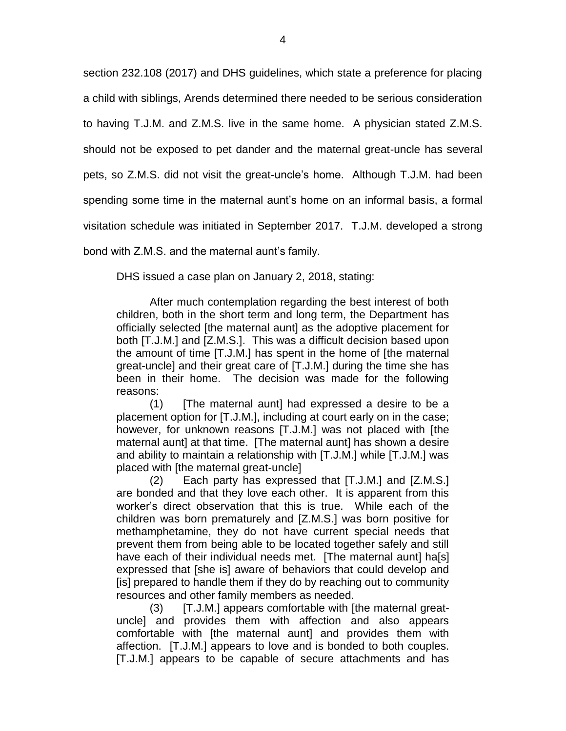section 232.108 (2017) and DHS guidelines, which state a preference for placing a child with siblings, Arends determined there needed to be serious consideration to having T.J.M. and Z.M.S. live in the same home. A physician stated Z.M.S. should not be exposed to pet dander and the maternal great-uncle has several pets, so Z.M.S. did not visit the great-uncle's home. Although T.J.M. had been spending some time in the maternal aunt's home on an informal basis, a formal visitation schedule was initiated in September 2017. T.J.M. developed a strong bond with Z.M.S. and the maternal aunt's family.

DHS issued a case plan on January 2, 2018, stating:

After much contemplation regarding the best interest of both children, both in the short term and long term, the Department has officially selected [the maternal aunt] as the adoptive placement for both [T.J.M.] and [Z.M.S.]. This was a difficult decision based upon the amount of time [T.J.M.] has spent in the home of [the maternal great-uncle] and their great care of [T.J.M.] during the time she has been in their home. The decision was made for the following reasons:

(1) [The maternal aunt] had expressed a desire to be a placement option for [T.J.M.], including at court early on in the case; however, for unknown reasons [T.J.M.] was not placed with [the maternal aunt] at that time. [The maternal aunt] has shown a desire and ability to maintain a relationship with [T.J.M.] while [T.J.M.] was placed with [the maternal great-uncle]

(2) Each party has expressed that [T.J.M.] and [Z.M.S.] are bonded and that they love each other. It is apparent from this worker's direct observation that this is true. While each of the children was born prematurely and [Z.M.S.] was born positive for methamphetamine, they do not have current special needs that prevent them from being able to be located together safely and still have each of their individual needs met. [The maternal aunt] ha[s] expressed that [she is] aware of behaviors that could develop and [is] prepared to handle them if they do by reaching out to community resources and other family members as needed.

(3) [T.J.M.] appears comfortable with [the maternal greatuncle] and provides them with affection and also appears comfortable with [the maternal aunt] and provides them with affection. [T.J.M.] appears to love and is bonded to both couples. [T.J.M.] appears to be capable of secure attachments and has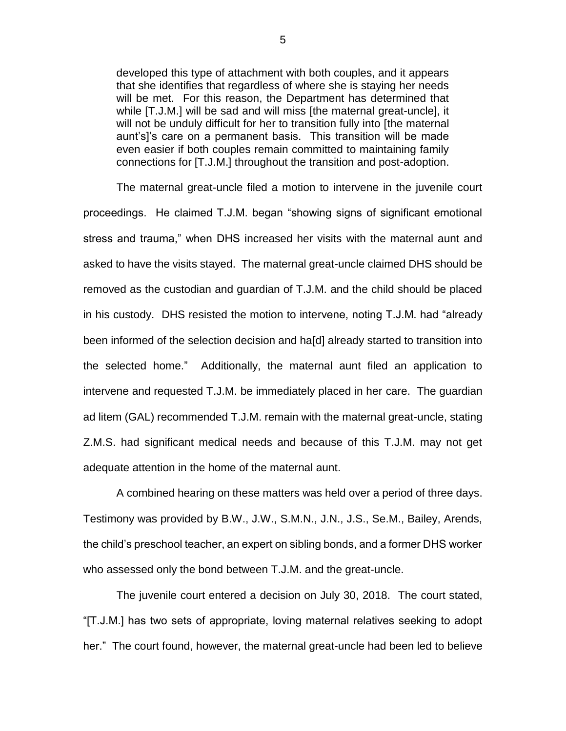developed this type of attachment with both couples, and it appears that she identifies that regardless of where she is staying her needs will be met. For this reason, the Department has determined that while [T.J.M.] will be sad and will miss [the maternal great-uncle], it will not be unduly difficult for her to transition fully into [the maternal aunt's]'s care on a permanent basis. This transition will be made even easier if both couples remain committed to maintaining family connections for [T.J.M.] throughout the transition and post-adoption.

The maternal great-uncle filed a motion to intervene in the juvenile court proceedings. He claimed T.J.M. began "showing signs of significant emotional stress and trauma," when DHS increased her visits with the maternal aunt and asked to have the visits stayed. The maternal great-uncle claimed DHS should be removed as the custodian and guardian of T.J.M. and the child should be placed in his custody. DHS resisted the motion to intervene, noting T.J.M. had "already been informed of the selection decision and ha[d] already started to transition into the selected home." Additionally, the maternal aunt filed an application to intervene and requested T.J.M. be immediately placed in her care. The guardian ad litem (GAL) recommended T.J.M. remain with the maternal great-uncle, stating Z.M.S. had significant medical needs and because of this T.J.M. may not get adequate attention in the home of the maternal aunt.

A combined hearing on these matters was held over a period of three days. Testimony was provided by B.W., J.W., S.M.N., J.N., J.S., Se.M., Bailey, Arends, the child's preschool teacher, an expert on sibling bonds, and a former DHS worker who assessed only the bond between T.J.M. and the great-uncle.

The juvenile court entered a decision on July 30, 2018. The court stated, "[T.J.M.] has two sets of appropriate, loving maternal relatives seeking to adopt her." The court found, however, the maternal great-uncle had been led to believe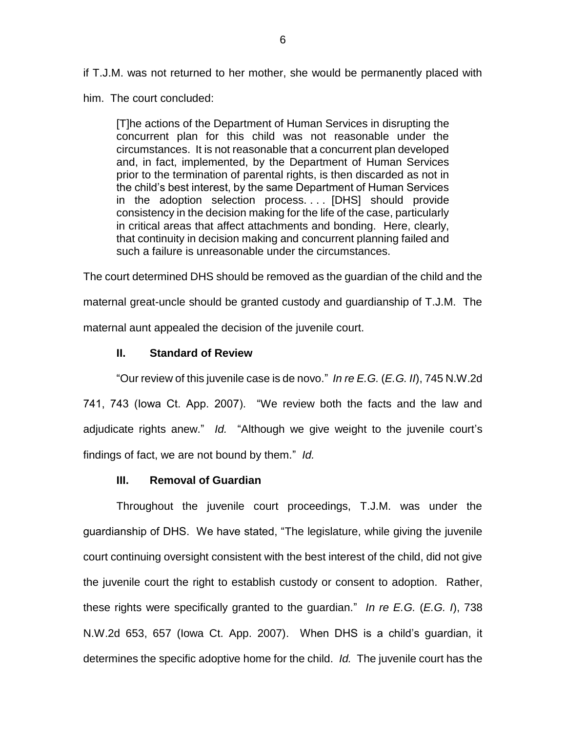if T.J.M. was not returned to her mother, she would be permanently placed with

him. The court concluded:

[T]he actions of the Department of Human Services in disrupting the concurrent plan for this child was not reasonable under the circumstances. It is not reasonable that a concurrent plan developed and, in fact, implemented, by the Department of Human Services prior to the termination of parental rights, is then discarded as not in the child's best interest, by the same Department of Human Services in the adoption selection process. . . . [DHS] should provide consistency in the decision making for the life of the case, particularly in critical areas that affect attachments and bonding. Here, clearly, that continuity in decision making and concurrent planning failed and such a failure is unreasonable under the circumstances.

The court determined DHS should be removed as the guardian of the child and the maternal great-uncle should be granted custody and guardianship of T.J.M. The maternal aunt appealed the decision of the juvenile court.

## **II. Standard of Review**

"Our review of this juvenile case is de novo." *In re E.G.* (*E.G. II*), 745 N.W.2d 741, 743 (Iowa Ct. App. 2007). "We review both the facts and the law and adjudicate rights anew." *Id.* "Although we give weight to the juvenile court's findings of fact, we are not bound by them." *Id.*

# **III. Removal of Guardian**

Throughout the juvenile court proceedings, T.J.M. was under the guardianship of DHS. We have stated, "The legislature, while giving the juvenile court continuing oversight consistent with the best interest of the child, did not give the juvenile court the right to establish custody or consent to adoption. Rather, these rights were specifically granted to the guardian." *In re E.G.* (*E.G. I*), 738 N.W.2d 653, 657 (Iowa Ct. App. 2007). When DHS is a child's guardian, it determines the specific adoptive home for the child. *Id.* The juvenile court has the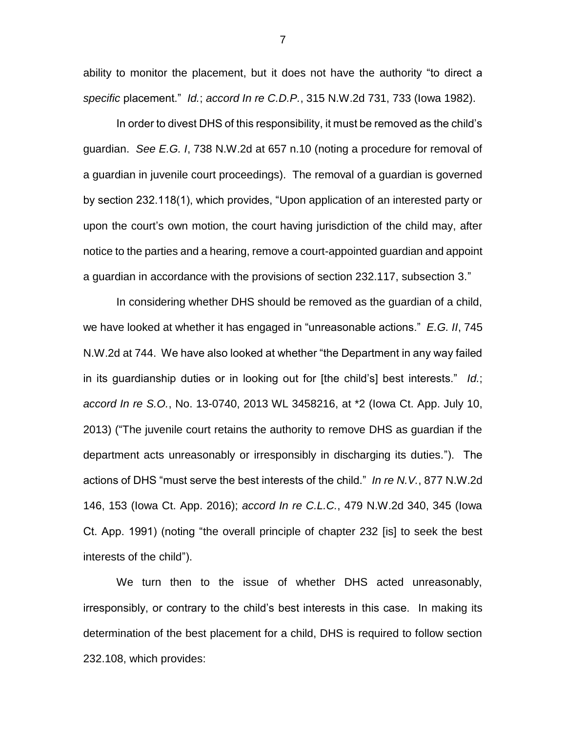ability to monitor the placement, but it does not have the authority "to direct a *specific* placement." *Id.*; *accord In re C.D.P.*, 315 N.W.2d 731, 733 (Iowa 1982).

In order to divest DHS of this responsibility, it must be removed as the child's guardian. *See E.G. I*, 738 N.W.2d at 657 n.10 (noting a procedure for removal of a guardian in juvenile court proceedings). The removal of a guardian is governed by section 232.118(1), which provides, "Upon application of an interested party or upon the court's own motion, the court having jurisdiction of the child may, after notice to the parties and a hearing, remove a court-appointed guardian and appoint a guardian in accordance with the provisions of section 232.117, subsection 3."

In considering whether DHS should be removed as the guardian of a child, we have looked at whether it has engaged in "unreasonable actions." *E.G. II*, 745 N.W.2d at 744. We have also looked at whether "the Department in any way failed in its guardianship duties or in looking out for [the child's] best interests." *Id.*; *accord In re S.O.*, No. 13-0740, 2013 WL 3458216, at \*2 (Iowa Ct. App. July 10, 2013) ("The juvenile court retains the authority to remove DHS as guardian if the department acts unreasonably or irresponsibly in discharging its duties."). The actions of DHS "must serve the best interests of the child." *In re N.V.*, 877 N.W.2d 146, 153 (Iowa Ct. App. 2016); *accord In re C.L.C.*, 479 N.W.2d 340, 345 (Iowa Ct. App. 1991) (noting "the overall principle of chapter 232 [is] to seek the best interests of the child").

We turn then to the issue of whether DHS acted unreasonably, irresponsibly, or contrary to the child's best interests in this case. In making its determination of the best placement for a child, DHS is required to follow section 232.108, which provides:

7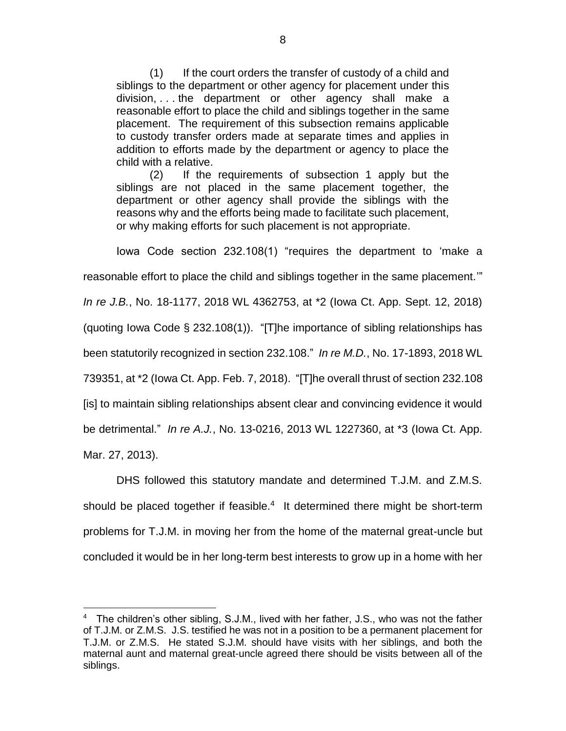(1) If the court orders the transfer of custody of a child and siblings to the department or other agency for placement under this division, . . . the department or other agency shall make a reasonable effort to place the child and siblings together in the same placement. The requirement of this subsection remains applicable to custody transfer orders made at separate times and applies in addition to efforts made by the department or agency to place the child with a relative.

(2) If the requirements of subsection 1 apply but the siblings are not placed in the same placement together, the department or other agency shall provide the siblings with the reasons why and the efforts being made to facilitate such placement, or why making efforts for such placement is not appropriate.

Iowa Code section 232.108(1) "requires the department to 'make a

reasonable effort to place the child and siblings together in the same placement.'"

*In re J.B.*, No. 18-1177, 2018 WL 4362753, at \*2 (Iowa Ct. App. Sept. 12, 2018)

(quoting Iowa Code § 232.108(1)). "[T]he importance of sibling relationships has

been statutorily recognized in section 232.108." *In re M.D.*, No. 17-1893, 2018 WL

739351, at \*2 (Iowa Ct. App. Feb. 7, 2018). "[T]he overall thrust of section 232.108

[is] to maintain sibling relationships absent clear and convincing evidence it would

be detrimental." *In re A.J.*, No. 13-0216, 2013 WL 1227360, at \*3 (Iowa Ct. App.

Mar. 27, 2013).

 $\overline{a}$ 

DHS followed this statutory mandate and determined T.J.M. and Z.M.S. should be placed together if feasible. $4$  It determined there might be short-term problems for T.J.M. in moving her from the home of the maternal great-uncle but concluded it would be in her long-term best interests to grow up in a home with her

<sup>&</sup>lt;sup>4</sup> The children's other sibling, S.J.M., lived with her father, J.S., who was not the father of T.J.M. or Z.M.S. J.S. testified he was not in a position to be a permanent placement for T.J.M. or Z.M.S. He stated S.J.M. should have visits with her siblings, and both the maternal aunt and maternal great-uncle agreed there should be visits between all of the siblings.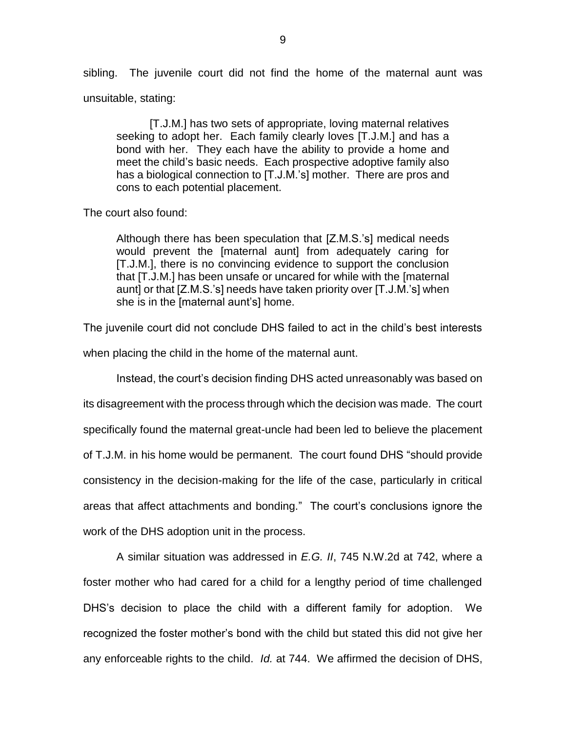sibling. The juvenile court did not find the home of the maternal aunt was unsuitable, stating:

[T.J.M.] has two sets of appropriate, loving maternal relatives seeking to adopt her. Each family clearly loves [T.J.M.] and has a bond with her. They each have the ability to provide a home and meet the child's basic needs. Each prospective adoptive family also has a biological connection to [T.J.M.'s] mother. There are pros and cons to each potential placement.

The court also found:

Although there has been speculation that [Z.M.S.'s] medical needs would prevent the [maternal aunt] from adequately caring for [T.J.M.], there is no convincing evidence to support the conclusion that [T.J.M.] has been unsafe or uncared for while with the [maternal aunt] or that [Z.M.S.'s] needs have taken priority over [T.J.M.'s] when she is in the [maternal aunt's] home.

The juvenile court did not conclude DHS failed to act in the child's best interests

when placing the child in the home of the maternal aunt.

Instead, the court's decision finding DHS acted unreasonably was based on its disagreement with the process through which the decision was made. The court specifically found the maternal great-uncle had been led to believe the placement of T.J.M. in his home would be permanent. The court found DHS "should provide consistency in the decision-making for the life of the case, particularly in critical areas that affect attachments and bonding." The court's conclusions ignore the work of the DHS adoption unit in the process.

A similar situation was addressed in *E.G. II*, 745 N.W.2d at 742, where a foster mother who had cared for a child for a lengthy period of time challenged DHS's decision to place the child with a different family for adoption. We recognized the foster mother's bond with the child but stated this did not give her any enforceable rights to the child. *Id.* at 744. We affirmed the decision of DHS,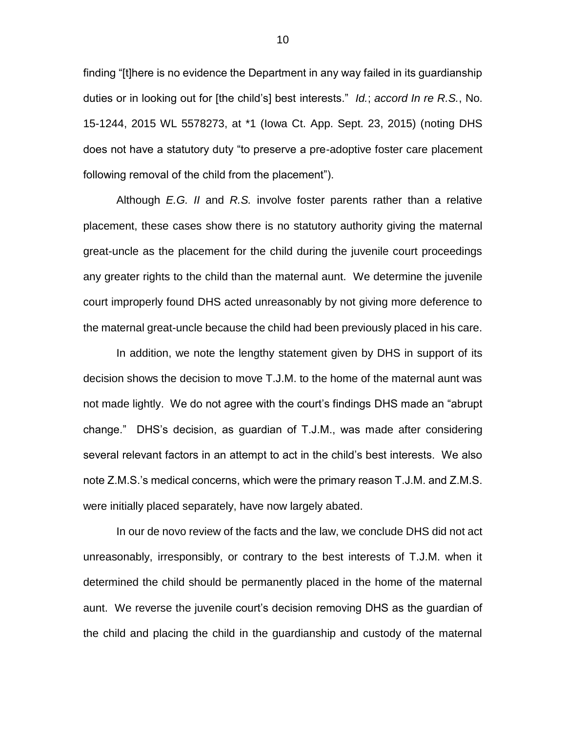finding "[t]here is no evidence the Department in any way failed in its guardianship duties or in looking out for [the child's] best interests." *Id.*; *accord In re R.S.*, No. 15-1244, 2015 WL 5578273, at \*1 (Iowa Ct. App. Sept. 23, 2015) (noting DHS does not have a statutory duty "to preserve a pre-adoptive foster care placement following removal of the child from the placement").

Although *E.G. II* and *R.S.* involve foster parents rather than a relative placement, these cases show there is no statutory authority giving the maternal great-uncle as the placement for the child during the juvenile court proceedings any greater rights to the child than the maternal aunt. We determine the juvenile court improperly found DHS acted unreasonably by not giving more deference to the maternal great-uncle because the child had been previously placed in his care.

In addition, we note the lengthy statement given by DHS in support of its decision shows the decision to move T.J.M. to the home of the maternal aunt was not made lightly. We do not agree with the court's findings DHS made an "abrupt change." DHS's decision, as guardian of T.J.M., was made after considering several relevant factors in an attempt to act in the child's best interests. We also note Z.M.S.'s medical concerns, which were the primary reason T.J.M. and Z.M.S. were initially placed separately, have now largely abated.

In our de novo review of the facts and the law, we conclude DHS did not act unreasonably, irresponsibly, or contrary to the best interests of T.J.M. when it determined the child should be permanently placed in the home of the maternal aunt. We reverse the juvenile court's decision removing DHS as the guardian of the child and placing the child in the guardianship and custody of the maternal